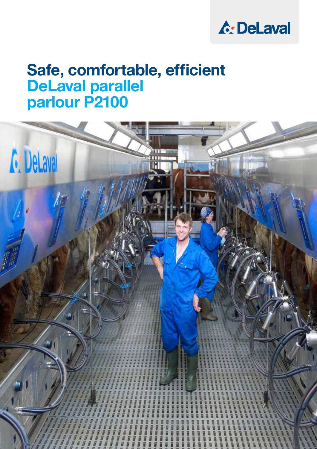

# Safe, comfortable, efficient DeLaval parallel parlour P2100

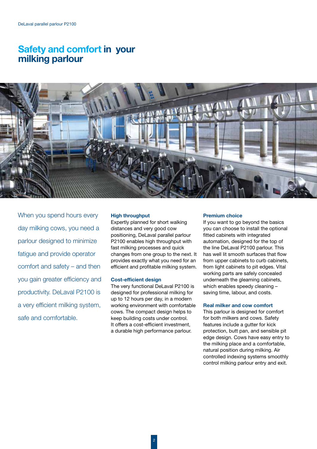# Safety and comfort in your milking parlour



When you spend hours every day milking cows, you need a parlour designed to minimize fatigue and provide operator comfort and safety – and then you gain greater efficiency and productivity. DeLaval P2100 is a very efficient milking system, safe and comfortable.

#### High throughput

Expertly planned for short walking distances and very good cow positioning, DeLaval parallel parlour P2100 enables high throughput with fast milking processes and quick changes from one group to the next. It provides exactly what you need for an efficient and profitable milking system.

#### Cost-efficient design

The very functional DeLaval P2100 is designed for professional milking for up to 12 hours per day, in a modern working environment with comfortable cows. The compact design helps to keep building costs under control. It offers a cost-efficient investment, a durable high performance parlour.

#### Premium choice

If you want to go beyond the basics you can choose to install the optional fitted cabinets with integrated automation, designed for the top of the line DeLaval P2100 parlour. This has well lit smooth surfaces that flow from upper cabinets to curb cabinets, from light cabinets to pit edges. Vital working parts are safely concealed underneath the gleaming cabinets, which enables speedy cleaning saving time, labour, and costs.

#### Real milker and cow comfort

This parlour is designed for comfort for both milkers and cows. Safety features include a gutter for kick protection, butt pan, and sensible pit edge design. Cows have easy entry to the milking place and a comfortable, natural position during milking. Air controlled indexing systems smoothly control milking parlour entry and exit.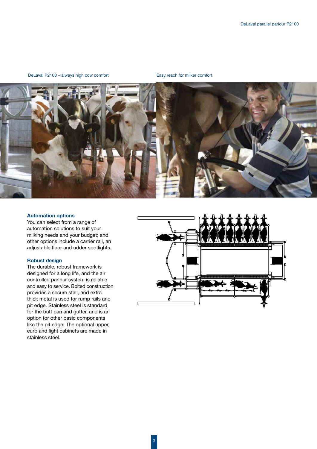# DeLaval P2100 – always high cow comfort Easy reach for milker comfort



# Automation options

You can select from a range of automation solutions to suit your milking needs and your budget; and other options include a carrier rail, an adjustable floor and udder spotlights.

# Robust design

The durable, robust framework is designed for a long life, and the air controlled parlour system is reliable and easy to service. Bolted construction provides a secure stall, and extra thick metal is used for rump rails and pit edge. Stainless steel is standard for the butt pan and gutter, and is an option for other basic components like the pit edge. The optional upper, curb and light cabinets are made in stainless steel.

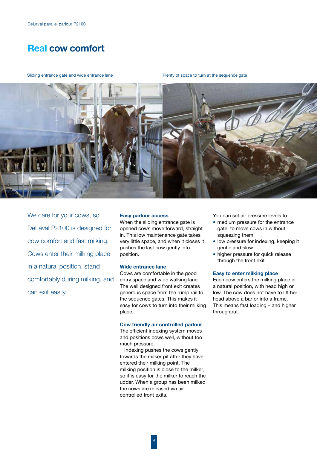# Real cow comfort

Sliding entrance gate and wide entrance lane **Plenty of space to turn at the sequence gate** 



We care for your cows, so DeLaval P2100 is designed for cow comfort and fast milking. Cows enter their milking place in a natural position, stand comfortably during milking, and can exit easily.

#### Easy parlour access

When the sliding entrance gate is opened cows move forward, straight in. This low maintenance gate takes very little space, and when it closes it pushes the last cow gently into position.

# Wide entrance lane

Cows are comfortable in the good entry space and wide walking lane. The well designed front exit creates generous space from the rump rail to the sequence gates. This makes it easy for cows to turn into their milking place.

#### Cow friendly air controlled parlour

The efficient indexing system moves and positions cows well, without too much pressure.

Indexing pushes the cows gently towards the milker pit after they have entered their milking point. The milking position is close to the milker, so it is easy for the milker to reach the udder. When a group has been milked the cows are released via air controlled front exits.

You can set air pressure levels to:

- medium pressure for the entrance gate, to move cows in without squeezing them;
- low pressure for indexing, keeping it gentle and slow;
- higher pressure for quick release through the front exit.

#### Easy to enter milking place

Each cow enters the milking place in a natural position, with head high or low. The cow does not have to lift her head above a bar or into a frame. This means fast loading – and higher throughput.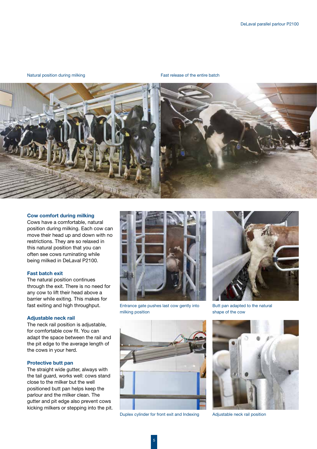Natural position during milking Fast release of the entire batch



# Cow comfort during milking

Cows have a comfortable, natural position during milking. Each cow can move their head up and down with no restrictions. They are so relaxed in this natural position that you can often see cows ruminating while being milked in DeLaval P2100.

#### Fast batch exit

The natural position continues through the exit. There is no need for any cow to lift their head above a barrier while exiting. This makes for fast exiting and high throughput.

# Adjustable neck rail

The neck rail position is adjustable. for comfortable cow fit. You can adapt the space between the rail and the pit edge to the average length of the cows in your herd.

# Protective butt pan

The straight wide gutter, always with the tail guard, works well: cows stand close to the milker but the well positioned butt pan helps keep the parlour and the milker clean. The gutter and pit edge also prevent cows kicking milkers or stepping into the pit.



Entrance gate pushes last cow gently into milking position



Butt pan adapted to the natural shape of the cow



Duplex cylinder for front exit and Indexing Adjustable neck rail position

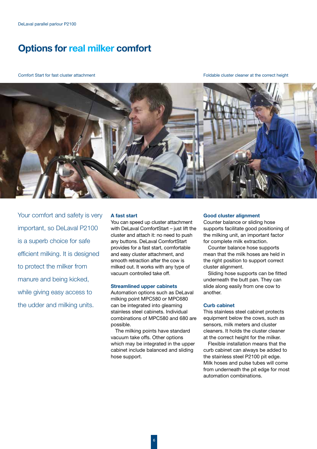# Options for real milker comfort

Comfort Start for fast cluster attachment Foldable cluster cleaner at the correct height



Your comfort and safety is very important, so DeLaval P2100 is a superb choice for safe efficient milking. It is designed to protect the milker from manure and being kicked, while giving easy access to the udder and milking units.

#### A fast start

You can speed up cluster attachment with DeLaval ComfortStart – just lift the cluster and attach it: no need to push any buttons. DeLaval ComfortStart provides for a fast start, comfortable and easy cluster attachment, and smooth retraction after the cow is milked out. It works with any type of vacuum controlled take off.

#### Streamlined upper cabinets

Automation options such as DeLaval milking point MPC580 or MPC680 can be integrated into gleaming stainless steel cabinets. Individual combinations of MPC580 and 680 are possible.

The milking points have standard vacuum take offs. Other options which may be integrated in the upper cabinet include balanced and sliding hose support.

# Good cluster alignment

Counter balance or sliding hose supports facilitate good positioning of the milking unit, an important factor for complete milk extraction.

Counter balance hose supports mean that the milk hoses are held in the right position to support correct cluster alignment.

Sliding hose supports can be fitted underneath the butt pan. They can slide along easily from one cow to another.

#### Curb cabinet

This stainless steel cabinet protects equipment below the cows, such as sensors, milk meters and cluster cleaners. It holds the cluster cleaner at the correct height for the milker.

Flexible installation means that the curb cabinet can always be added to the stainless steel P2100 pit edge. Milk hoses and pulse tubes will come from underneath the pit edge for most automation combinations.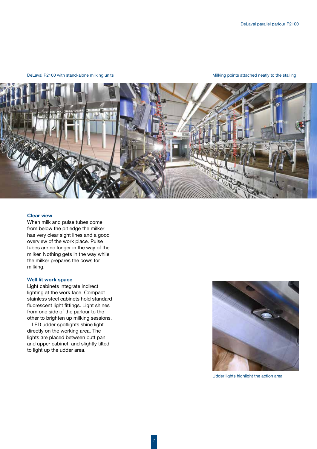DeLaval P2100 with stand-alone milking units Milking points attached neatly to the stalling points attached neatly to the stalling



# Clear view

When milk and pulse tubes come from below the pit edge the milker has very clear sight lines and a good overview of the work place. Pulse tubes are no longer in the way of the milker. Nothing gets in the way while the milker prepares the cows for milking.

### Well lit work space

Light cabinets integrate indirect lighting at the work face. Compact stainless steel cabinets hold standard fluorescent light fittings. Light shines from one side of the parlour to the other to brighten up milking sessions.

LED udder spotlights shine light directly on the working area. The lights are placed between butt pan and upper cabinet, and slightly tilted to light up the udder area.



Udder lights highlight the action area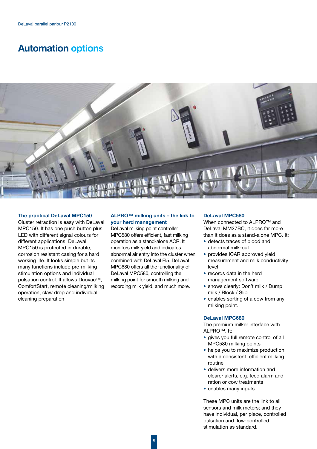# Automation options



# The practical DeLaval MPC150

Cluster retraction is easy with DeLaval MPC150. It has one push button plus LED with different signal colours for different applications. DeLaval MPC150 is protected in durable, corrosion resistant casing for a hard working life. It looks simple but its many functions include pre-milking stimulation options and individual pulsation control. It allows Duovac™, ComfortStart, remote cleaning/milking operation, claw drop and individual cleaning preparation

# ALPRO™ milking units – the link to your herd management

DeLaval milking point controller MPC580 offers efficient, fast milking operation as a stand-alone ACR. It monitors milk yield and indicates abnormal air entry into the cluster when combined with DeLaval FI5. DeLaval MPC680 offers all the functionality of DeLaval MPC580, controlling the milking point for smooth milking and recording milk yield, and much more.

#### DeLaval MPC580

When connected to ALPRO<sup>™</sup> and DeLaval MM27BC, it does far more than it does as a stand-alone MPC. It:

- detects traces of blood and abnormal milk-out
- provides ICAR approved vield measurement and milk conductivity level
- records data in the herd management software
- shows clearly: Don't milk / Dump milk / Block / Slip
- enables sorting of a cow from any milking point.

# DeLaval MPC680

The premium milker interface with ALPRO™. It:

- gives you full remote control of all MPC580 milking points
- helps you to maximize production with a consistent, efficient milking routine
- delivers more information and clearer alerts, e.g. feed alarm and ration or cow treatments
- enables many inputs.

These MPC units are the link to all sensors and milk meters; and they have individual, per place, controlled pulsation and flow-controlled stimulation as standard.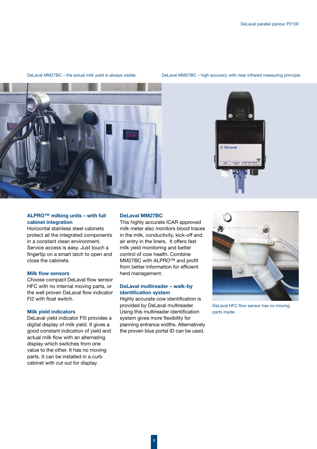

DeLaval MM27BC – the actual milk yield is always visible.

DeLaval MM27BC – high accuracy with near infrared measuring principle



# ALPRO™ milking units – with full cabinet integration

Horizontal stainless steel cabinets protect all the integrated components in a constant clean environment. Service access is easy. Just touch a fingertip on a smart latch to open and close the cabinets.

### Milk flow sensors

Choose compact DeLaval flow sensor HFC with no internal moving parts, or the well proven DeLaval flow indicator FI2 with float switch.

# Milk yield indicators

DeLaval yield indicator FI5 provides a digital display of milk yield. It gives a good constant indication of yield and actual milk flow with an alternating display which switches from one value to the other. It has no moving parts. It can be installed in a curb cabinet with cut out for display.

#### DeLaval MM27BC

This highly accurate ICAR approved milk meter also monitors blood traces in the milk, conductivity, kick-off and air entry in the liners. It offers fast milk yield monitoring and better control of cow health. Combine MM27BC with ALPRO™ and profit from better information for efficient herd management.

# DeLaval multireader – walk-by identification system

Highly accurate cow identification is provided by DeLaval multireader. Using this multireader identification system gives more flexibility for planning entrance widths. Alternatively the proven blue portal ID can be used.



DeLaval HFC flow sensor has no moving parts inside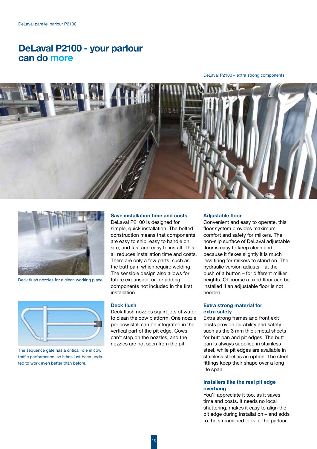# DeLaval P2100 - your parlour can do more

DeLaval P2100 – extra strong components





Deck flush nozzles for a clean working place



The sequence gate has a critical role in cow traffic performance, so it has just been updated to work even better than before.

# Save installation time and costs

DeLaval P2100 is designed for simple, quick installation. The bolted construction means that components are easy to ship, easy to handle on site, and fast and easy to install. This all reduces installation time and costs. There are only a few parts, such as the butt pan, which require welding. The sensible design also allows for future expansion, or for adding components not included in the first installation.

#### Deck flush

Deck flush nozzles squirt jets of water to clean the cow platform. One nozzle per cow stall can be integrated in the vertical part of the pit edge. Cows can't step on the nozzles, and the nozzles are not seen from the pit.

#### **Adjustable floor**

Convenient and easy to operate, this floor system provides maximum comfort and safety for milkers. The non-slip surface of DeLaval adjustable floor is easy to keep clean and because it flexes slightly it is much less tiring for milkers to stand on. The hydraulic version adjusts – at the push of a button – for different milker heights. Of course a fixed floor can be installed if an adjustable floor is not needed

# Extra strong material for extra safety

Extra strong frames and front exit posts provide durability and safety: such as the 3 mm thick metal sheets for butt pan and pit edges. The butt pan is always supplied in stainless steel, while pit edges are available in stainless steel as an option. The steel fittings keep their shape over a long life span.

# Installers like the real pit edge overhang

You'll appreciate it too, as it saves time and costs. It needs no local shuttering, makes it easy to align the pit edge during installation – and adds to the streamlined look of the parlour.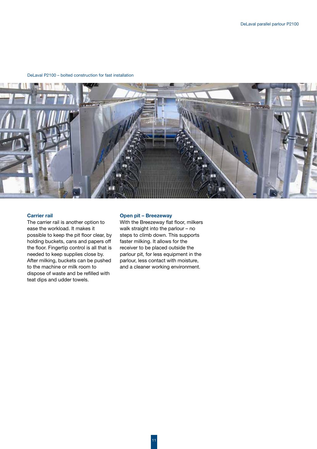#### DeLaval P2100 – bolted construction for fast installation



# Carrier rail

The carrier rail is another option to ease the workload. It makes it possible to keep the pit floor clear, by holding buckets, cans and papers off the floor. Fingertip control is all that is needed to keep supplies close by. After milking, buckets can be pushed to the machine or milk room to dispose of waste and be refilled with teat dips and udder towels.

#### Open pit – Breezeway

With the Breezeway flat floor, milkers walk straight into the parlour – no steps to climb down. This supports faster milking. It allows for the receiver to be placed outside the parlour pit, for less equipment in the parlour, less contact with moisture, and a cleaner working environment.